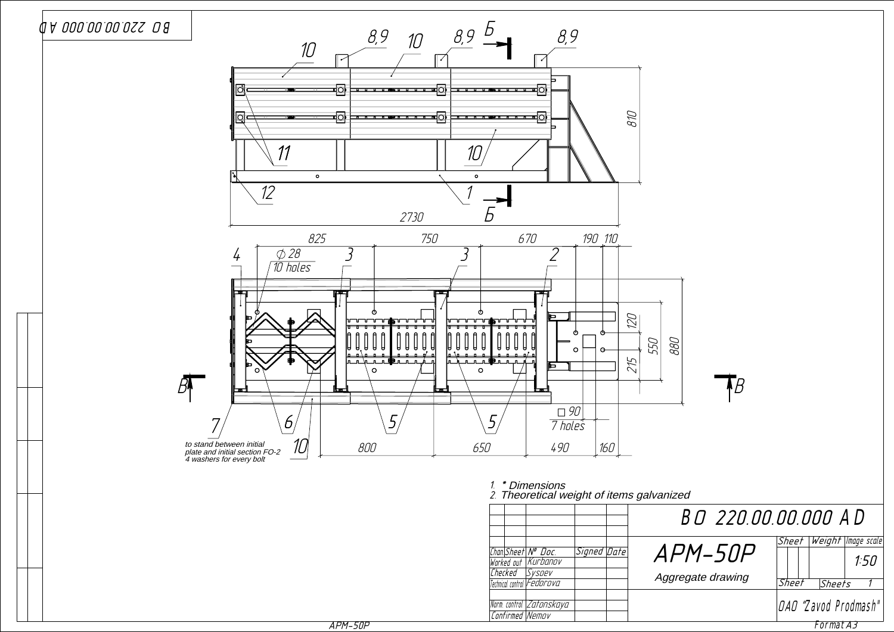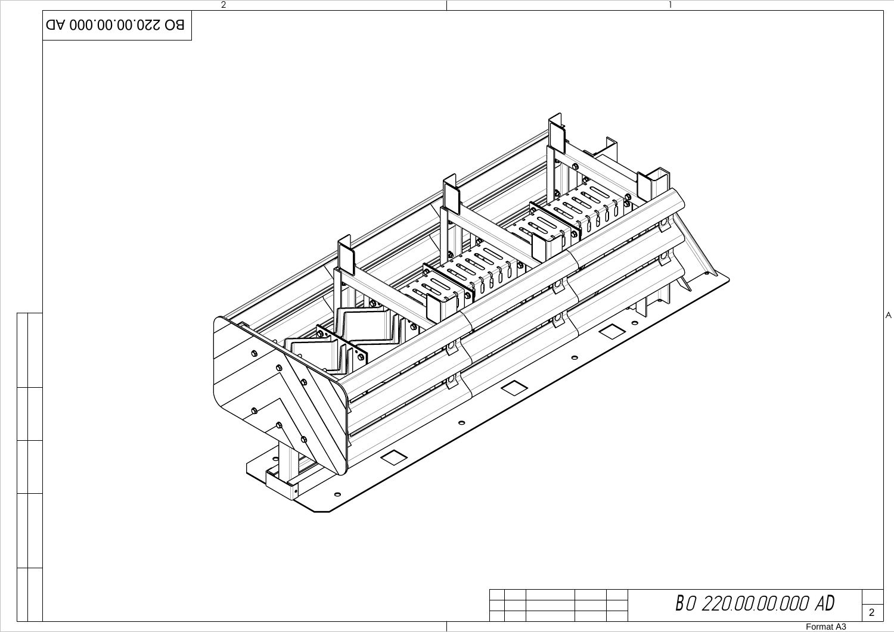

## BO 220.00.00.000 AD

Format A3

 $\frac{1}{2}$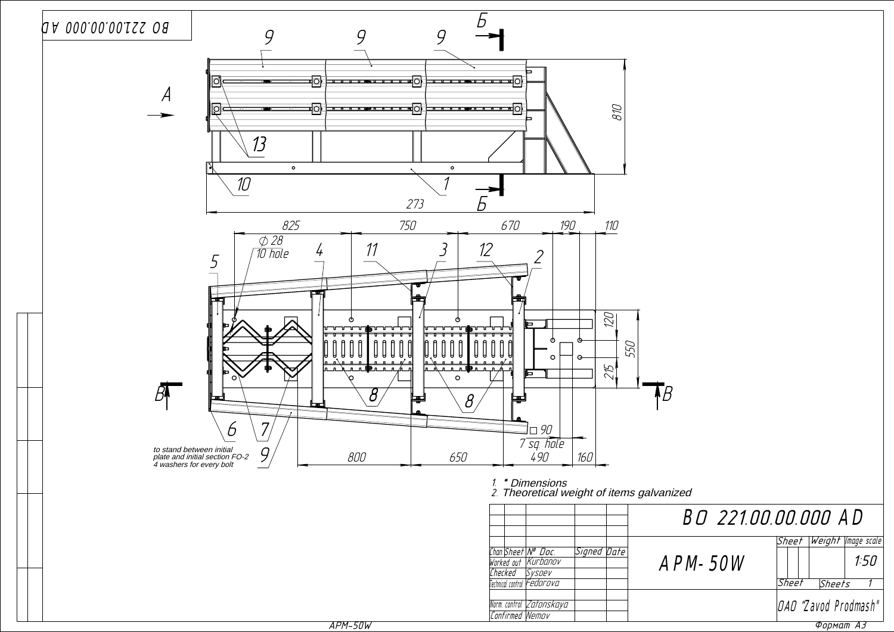